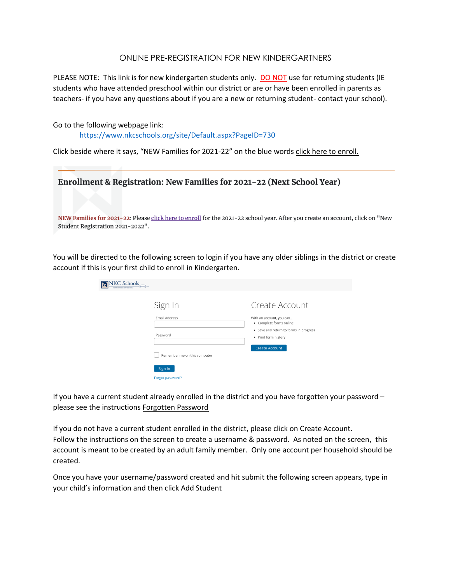## ONLINE PRE-REGISTRATION FOR NEW KINDERGARTNERS

PLEASE NOTE: This link is for new kindergarten students only. DO NOT use for returning students (IE students who have attended preschool within our district or are or have been enrolled in parents as teachers- if you have any questions about if you are a new or returning student- contact your school).

Go to the following webpage link:

<https://www.nkcschools.org/site/Default.aspx?PageID=730>

Click beside where it says, "NEW Families for 2021-22" on the blue words click here to enroll.

| Enrollment & Registration: New Families for 2021-22 (Next School Year)                                                                                            |
|-------------------------------------------------------------------------------------------------------------------------------------------------------------------|
| NEW Families for 2021-22: Please click here to enroll for the 2021-22 school year. After you create an account, click on "New<br>Student Registration 2021-2022". |

You will be directed to the following screen to login if you have any older siblings in the district or create account if this is your first child to enroll in Kindergarten.

| <b>NKC Schools</b><br>Ghanntz]-<br>MORTH KANSAS CITY SCHOOLS |                                                                |
|--------------------------------------------------------------|----------------------------------------------------------------|
| Sign In                                                      | Create Account                                                 |
| <b>Email Address</b>                                         | With an account, you can<br>• Complete forms online            |
| Password                                                     | • Save and return to forms in progress<br>• Print form history |
| Remember me on this computer                                 | <b>Create Account</b>                                          |
| Sign In                                                      |                                                                |
| Forgot password?                                             |                                                                |

If you have a current student already enrolled in the district and you have forgotten your password – please see the instructions Forgotten Password

If you do not have a current student enrolled in the district, please click on Create Account. Follow the instructions on the screen to create a username & password. As noted on the screen, this account is meant to be created by an adult family member. Only one account per household should be created.

Once you have your username/password created and hit submit the following screen appears, type in your child's information and then click Add Student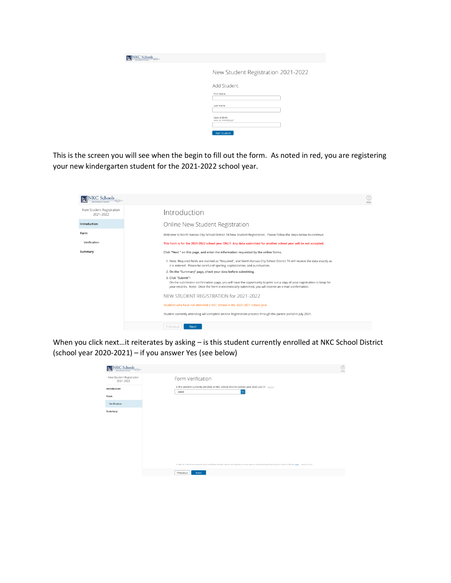| NNKC Schools<br>NORTH KNAMA GTY SOUNDS |                                        |
|----------------------------------------|----------------------------------------|
|                                        | New Student Registration 2021-2022     |
|                                        | Add Student                            |
|                                        | First Name                             |
|                                        | Last Name                              |
|                                        | Date of Birth<br>enter as "mm/dd/yyyy" |
|                                        | <b>Add Student</b>                     |

This is the screen you will see when the begin to fill out the form. As noted in red, you are registering your new kindergarten student for the 2021-2022 school year.

| NINKC Schools                         | (?)<br>Help                                                                                                                                                                                                                                              |
|---------------------------------------|----------------------------------------------------------------------------------------------------------------------------------------------------------------------------------------------------------------------------------------------------------|
| New Student Registration<br>2021-2022 | Introduction                                                                                                                                                                                                                                             |
| Introduction                          | Online New Student Registration                                                                                                                                                                                                                          |
| Form                                  | Welcome to North Kansas City School District 74 New Student Registration. Please follow the steps below to continue.                                                                                                                                     |
| Verification                          | This form is for the 2021-2022 school year ONLY. Any data submitted for another school year will be not accepted.                                                                                                                                        |
| Summary                               | Click "Next " on this page, and enter the information requested by the online forms.                                                                                                                                                                     |
|                                       | 1. Note: Required fields are marked as "Required", and North Kansas City School District 74 will receive the data exactly as<br>it is entered. Please be careful of spelling, capitalization, and punctuation.                                           |
|                                       | 2. On the "Summary" page, check your data before submitting.                                                                                                                                                                                             |
|                                       | 3. Click "Submit"!<br>On the submission confirmation page, you will have the opportunity to print out a copy of your registration to keep for<br>your records. Note: Once the form is electronically submitted, you will receive an e-mail confirmation. |
|                                       | NEW STUDENT REGISTRATION for 2021-2022                                                                                                                                                                                                                   |
|                                       | Students who have not attended a NKC School in the 2020-2021 school year                                                                                                                                                                                 |
|                                       | Student currently attending will complete on-line Registration process through the parent portal in July 2021.                                                                                                                                           |
|                                       | Previous<br><b>Next</b>                                                                                                                                                                                                                                  |

When you click next…it reiterates by asking – is this student currently enrolled at NKC School District (school year 2020-2021) – if you answer Yes (see below)

| NNKC Schools                          | ☺<br>Help                                                                                                                                                                                            |
|---------------------------------------|------------------------------------------------------------------------------------------------------------------------------------------------------------------------------------------------------|
| New Student Registration<br>2021-2022 | Form Verification                                                                                                                                                                                    |
| Introduction                          | Is this student currently enrolled at NKC School District (school year 2020-2021)? nepared<br>$\checkmark$<br>- Select -                                                                             |
| Form                                  |                                                                                                                                                                                                      |
| Verification                          |                                                                                                                                                                                                      |
| Summary                               |                                                                                                                                                                                                      |
|                                       | 0 2008-2021 PowerSchool Group LLC and/or its affiliate(s). All rights reserved. All trademarks are either owned or licensed by PowerSchool Group LLC and/or its affiliates. Legg). Version: 21.2.0.1 |
|                                       | Previous<br>Next                                                                                                                                                                                     |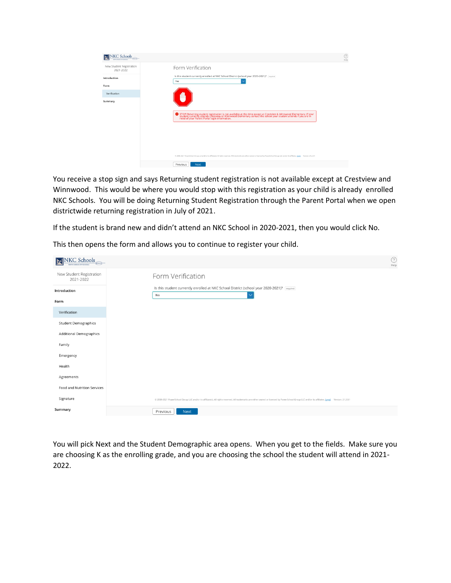| NKC Schools<br>ĪМ                     |                                                                                                                                                                                                                                | 91<br>Help |
|---------------------------------------|--------------------------------------------------------------------------------------------------------------------------------------------------------------------------------------------------------------------------------|------------|
| New Student Registration<br>2021-2022 | Form Verification                                                                                                                                                                                                              |            |
| Introduction                          | Is this student currently enrolled at NKC School District (school year 2020-2021)? required<br>Yes                                                                                                                             |            |
| Form                                  |                                                                                                                                                                                                                                |            |
| Verification                          |                                                                                                                                                                                                                                |            |
| Summary                               |                                                                                                                                                                                                                                |            |
|                                       |                                                                                                                                                                                                                                |            |
|                                       | STOP! Returning student registration is not available at this time except at Crestview & Winnwood Elementary. If your student currently attends Crestview or Winnwood Elementary contact the school your student attends if yo |            |
|                                       |                                                                                                                                                                                                                                |            |
|                                       |                                                                                                                                                                                                                                |            |
|                                       |                                                                                                                                                                                                                                |            |
|                                       |                                                                                                                                                                                                                                |            |
|                                       |                                                                                                                                                                                                                                |            |
|                                       | © 2008-2021 PowerSchool Group LLC and/or its affiliatels). All rights reserved. All trademarks are either owned or licensed by PowerSchool Group LLC and/or its affiliates. Leggl. Version: 21.2.0.1                           |            |
|                                       | Previous<br>Next                                                                                                                                                                                                               |            |

You receive a stop sign and says Returning student registration is not available except at Crestview and Winnwood. This would be where you would stop with this registration as your child is already enrolled NKC Schools. You will be doing Returning Student Registration through the Parent Portal when we open districtwide returning registration in July of 2021.

If the student is brand new and didn't attend an NKC School in 2020-2021, then you would click No.

| NNKC Schools<br>NORTH KANSAS CITY SCHOOLS | ⊙<br>Help                                                                                                                                                                                            |
|-------------------------------------------|------------------------------------------------------------------------------------------------------------------------------------------------------------------------------------------------------|
| New Student Registration<br>2021-2022     | Form Verification                                                                                                                                                                                    |
| Introduction                              | Is this student currently enrolled at NKC School District (school year 2020-2021)? [required]<br>No<br>$\checkmark$                                                                                  |
| Form                                      |                                                                                                                                                                                                      |
| Verification                              |                                                                                                                                                                                                      |
| <b>Student Demographics</b>               |                                                                                                                                                                                                      |
| <b>Additional Demographics</b>            |                                                                                                                                                                                                      |
| Family                                    |                                                                                                                                                                                                      |
| Emergency                                 |                                                                                                                                                                                                      |
| Health                                    |                                                                                                                                                                                                      |
| Agreements                                |                                                                                                                                                                                                      |
| Food and Nutrition Services               |                                                                                                                                                                                                      |
| Signature                                 | @ 2008-2021 PowerSchool Group LLC and/or its affiliate(s). All rights reserved. All trademarks are either owned or licensed by PowerSchool Group LLC and/or its affiliates, Legal. Version: 21.2.0.1 |
| Summary                                   | Previous<br>Next                                                                                                                                                                                     |

This then opens the form and allows you to continue to register your child.

You will pick Next and the Student Demographic area opens. When you get to the fields. Make sure you are choosing K as the enrolling grade, and you are choosing the school the student will attend in 2021- 2022.